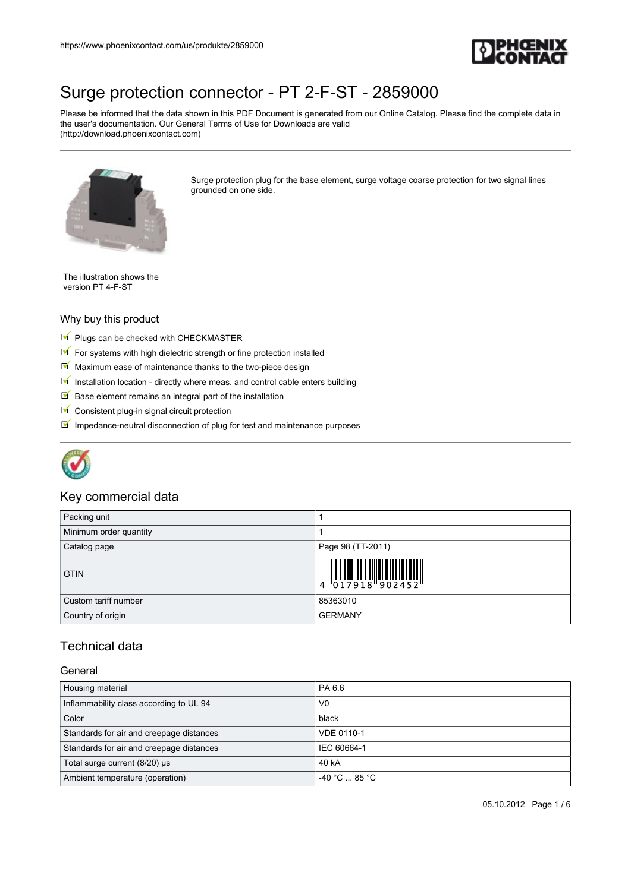

Please be informed that the data shown in this PDF Document is generated from our Online Catalog. Please find the complete data in the user's documentation. Our General Terms of Use for Downloads are valid (http://download.phoenixcontact.com)



Surge protection plug for the base element, surge voltage coarse protection for two signal lines grounded on one side.

The illustration shows the version PT 4-F-ST

#### Why buy this product

- $\blacksquare$  Plugs can be checked with CHECKMASTER
- $\blacksquare$  For systems with high dielectric strength or fine protection installed
- $M$  Maximum ease of maintenance thanks to the two-piece design
- Installation location directly where meas. and control cable enters building
- $\blacksquare$  Base element remains an integral part of the installation
- Consistent plug-in signal circuit protection
- $\blacksquare$  Impedance-neutral disconnection of plug for test and maintenance purposes



## Key commercial data

| Packing unit           |                                                                                                                                                                                                                                                                                                                             |
|------------------------|-----------------------------------------------------------------------------------------------------------------------------------------------------------------------------------------------------------------------------------------------------------------------------------------------------------------------------|
| Minimum order quantity |                                                                                                                                                                                                                                                                                                                             |
| Catalog page           | Page 98 (TT-2011)                                                                                                                                                                                                                                                                                                           |
| <b>GTIN</b>            | $\begin{array}{c} 1 & 0 & 0 & 0 & 0 \\ 0 & 1 & 0 & 0 & 0 \\ 0 & 1 & 0 & 0 & 0 \\ 0 & 0 & 0 & 0 & 0 \\ 0 & 0 & 0 & 0 & 0 \\ 0 & 0 & 0 & 0 & 0 \\ 0 & 0 & 0 & 0 & 0 \\ 0 & 0 & 0 & 0 & 0 \\ 0 & 0 & 0 & 0 & 0 \\ 0 & 0 & 0 & 0 & 0 & 0 \\ 0 & 0 & 0 & 0 & 0 & 0 \\ 0 & 0 & 0 & 0 & 0 & 0 & 0 \\ 0 & 0 & 0 & 0 & 0 & 0 & 0 \\$ |
| Custom tariff number   | 85363010                                                                                                                                                                                                                                                                                                                    |
| Country of origin      | <b>GERMANY</b>                                                                                                                                                                                                                                                                                                              |

# Technical data

#### General

| Housing material                         | PA 6.6               |
|------------------------------------------|----------------------|
| Inflammability class according to UL 94  | V <sub>0</sub>       |
| Color                                    | black                |
| Standards for air and creepage distances | VDE 0110-1           |
| Standards for air and creepage distances | IEC 60664-1          |
| Total surge current (8/20) µs            | 40 kA                |
| Ambient temperature (operation)          | $-40 °C \dots 85 °C$ |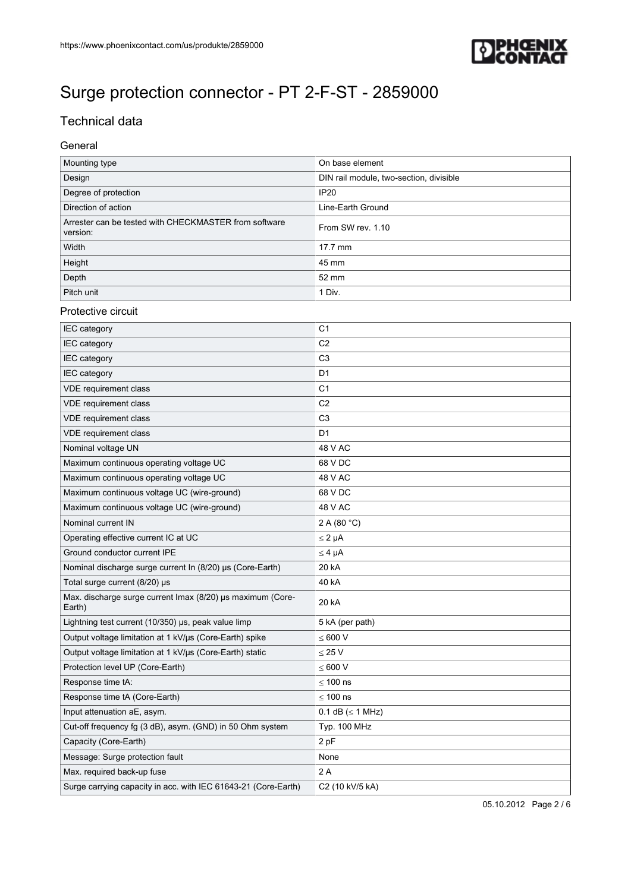

# Technical data

## General

| Mounting type                                                     | On base element                         |
|-------------------------------------------------------------------|-----------------------------------------|
| Design                                                            | DIN rail module, two-section, divisible |
| Degree of protection                                              | <b>IP20</b>                             |
| Direction of action                                               | Line-Earth Ground                       |
| Arrester can be tested with CHECKMASTER from software<br>version: | From SW rev. 1.10                       |
| Width                                                             | 17.7 mm                                 |
| Height                                                            | 45 mm                                   |
| Depth                                                             | 52 mm                                   |
| Pitch unit                                                        | 1 Div.                                  |

## Protective circuit

| IEC category                                                         | C <sub>1</sub>           |
|----------------------------------------------------------------------|--------------------------|
| <b>IEC</b> category                                                  | C <sub>2</sub>           |
| <b>IEC</b> category                                                  | C <sub>3</sub>           |
| <b>IEC</b> category                                                  | D <sub>1</sub>           |
| VDE requirement class                                                | C <sub>1</sub>           |
| VDE requirement class                                                | C <sub>2</sub>           |
| VDE requirement class                                                | C <sub>3</sub>           |
| VDE requirement class                                                | D <sub>1</sub>           |
| Nominal voltage UN                                                   | 48 V AC                  |
| Maximum continuous operating voltage UC                              | 68 V DC                  |
| Maximum continuous operating voltage UC                              | 48 V AC                  |
| Maximum continuous voltage UC (wire-ground)                          | 68 V DC                  |
| Maximum continuous voltage UC (wire-ground)                          | 48 V AC                  |
| Nominal current IN                                                   | 2 A (80 °C)              |
| Operating effective current IC at UC                                 | $\leq 2 \mu A$           |
| Ground conductor current IPE                                         | $\leq 4$ µA              |
| Nominal discharge surge current In (8/20) µs (Core-Earth)            | 20 kA                    |
| Total surge current (8/20) µs                                        | 40 kA                    |
| Max. discharge surge current Imax (8/20) µs maximum (Core-<br>Earth) | 20 kA                    |
| Lightning test current (10/350) µs, peak value limp                  | 5 kA (per path)          |
| Output voltage limitation at 1 kV/us (Core-Earth) spike              | $\leq 600$ V             |
| Output voltage limitation at 1 kV/us (Core-Earth) static             | $\leq$ 25 V              |
| Protection level UP (Core-Earth)                                     | $\leq 600$ V             |
| Response time tA:                                                    | $\leq 100$ ns            |
| Response time tA (Core-Earth)                                        | $\leq 100$ ns            |
| Input attenuation aE, asym.                                          | $0.1$ dB ( $\leq 1$ MHz) |
| Cut-off frequency fg (3 dB), asym. (GND) in 50 Ohm system            | <b>Typ. 100 MHz</b>      |
| Capacity (Core-Earth)                                                | 2 pF                     |
| Message: Surge protection fault                                      | None                     |
| Max. required back-up fuse                                           | 2A                       |
| Surge carrying capacity in acc. with IEC 61643-21 (Core-Earth)       | C2 (10 kV/5 kA)          |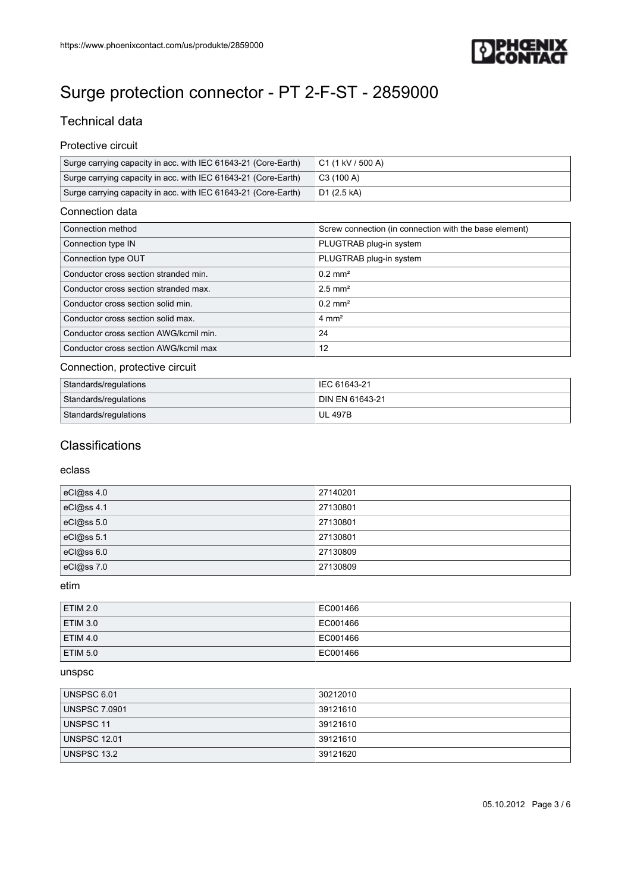

# Technical data

## Protective circuit

| Surge carrying capacity in acc. with IEC 61643-21 (Core-Earth) | C1 (1 kV / 500 A) |
|----------------------------------------------------------------|-------------------|
| Surge carrying capacity in acc. with IEC 61643-21 (Core-Earth) | C3 (100 A)        |
| Surge carrying capacity in acc. with IEC 61643-21 (Core-Earth) | D1 (2.5 kA)       |

#### Connection data

| Connection method                      | Screw connection (in connection with the base element) |
|----------------------------------------|--------------------------------------------------------|
| Connection type IN                     | PLUGTRAB plug-in system                                |
| Connection type OUT                    | PLUGTRAB plug-in system                                |
| Conductor cross section stranded min.  | $0.2$ mm <sup>2</sup>                                  |
| Conductor cross section stranded max.  | $2.5$ mm <sup>2</sup>                                  |
| Conductor cross section solid min.     | $0.2$ mm <sup>2</sup>                                  |
| Conductor cross section solid max.     | $4 \text{ mm}^2$                                       |
| Conductor cross section AWG/kcmil min. | 24                                                     |
| Conductor cross section AWG/kcmil max  | 12                                                     |

## Connection, protective circuit

| <b>Standards/regulations</b> | IEC 61643-21           |
|------------------------------|------------------------|
| Standards/regulations        | <b>DIN EN 61643-21</b> |
| Standards/regulations        | UL 497B                |

# **Classifications**

## eclass

| eCl@ss 4.0 | 27140201 |
|------------|----------|
| eCl@ss 4.1 | 27130801 |
| eCl@ss 5.0 | 27130801 |
| eCl@ss 5.1 | 27130801 |
| eCl@ss6.0  | 27130809 |
| eCl@ss 7.0 | 27130809 |

## etim

| <b>ETIM 2.0</b> | EC001466 |
|-----------------|----------|
| ETIM 3.0        | EC001466 |
| <b>ETIM 4.0</b> | EC001466 |
| <b>ETIM 5.0</b> | EC001466 |

## unspsc

| UNSPSC 6.01          | 30212010 |
|----------------------|----------|
| <b>UNSPSC 7.0901</b> | 39121610 |
| UNSPSC 11            | 39121610 |
| <b>UNSPSC 12.01</b>  | 39121610 |
| UNSPSC 13.2          | 39121620 |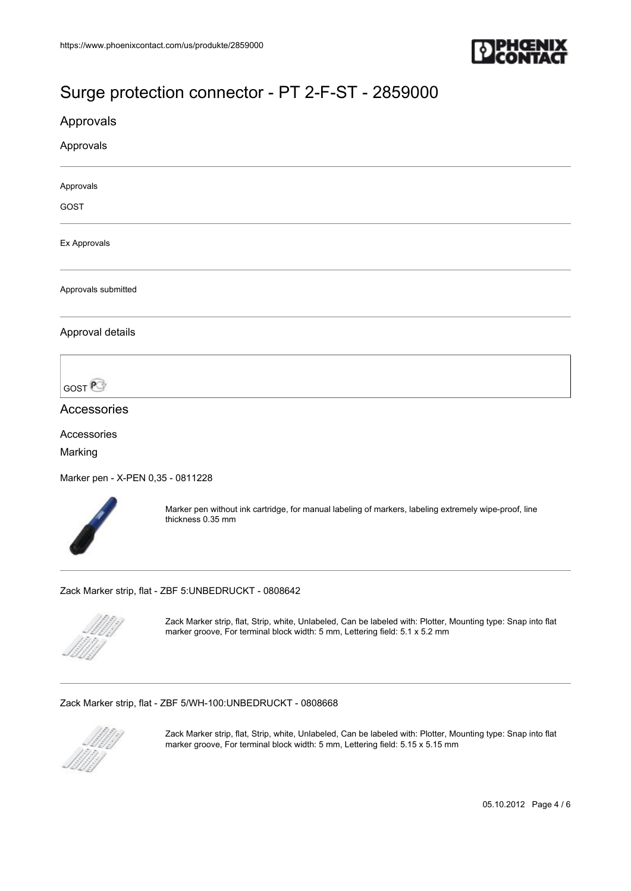

# Approvals Approvals Approvals GOST Ex Approvals Approvals submitted Approval details **GOST** Accessories Accessories Marking

[Marker pen - X-PEN 0,35 - 0811228](https://www.phoenixcontact.com/us/produkte/0811228)



Marker pen without ink cartridge, for manual labeling of markers, labeling extremely wipe-proof, line thickness 0.35 mm

[Zack Marker strip, flat - ZBF 5:UNBEDRUCKT - 0808642](https://www.phoenixcontact.com/us/produkte/0808642)



Zack Marker strip, flat, Strip, white, Unlabeled, Can be labeled with: Plotter, Mounting type: Snap into flat marker groove, For terminal block width: 5 mm, Lettering field: 5.1 x 5.2 mm

[Zack Marker strip, flat - ZBF 5/WH-100:UNBEDRUCKT - 0808668](https://www.phoenixcontact.com/us/produkte/0808668)



Zack Marker strip, flat, Strip, white, Unlabeled, Can be labeled with: Plotter, Mounting type: Snap into flat marker groove, For terminal block width: 5 mm, Lettering field: 5.15 x 5.15 mm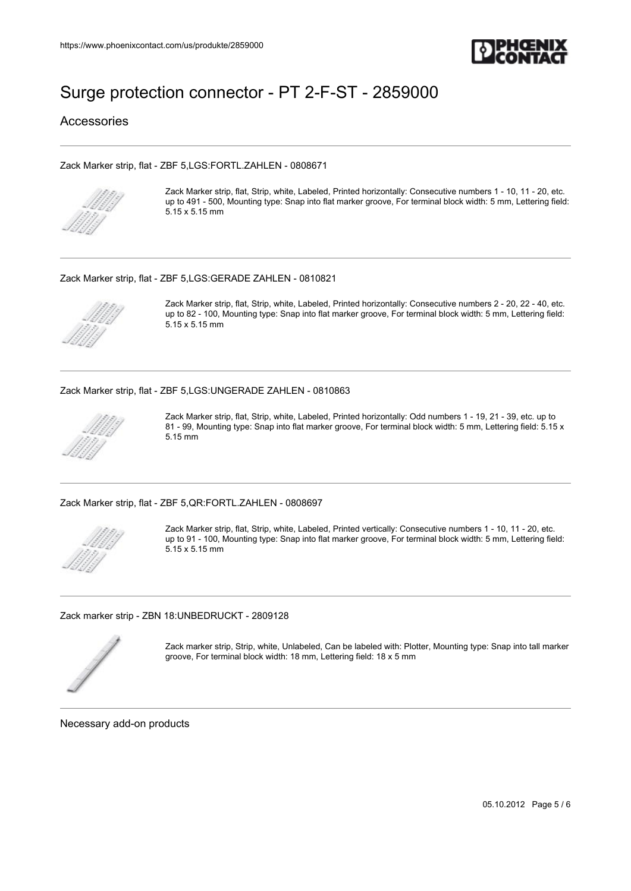

Accessories

#### [Zack Marker strip, flat - ZBF 5,LGS:FORTL.ZAHLEN - 0808671](https://www.phoenixcontact.com/us/produkte/0808671)



Zack Marker strip, flat, Strip, white, Labeled, Printed horizontally: Consecutive numbers 1 - 10, 11 - 20, etc. up to 491 - 500, Mounting type: Snap into flat marker groove, For terminal block width: 5 mm, Lettering field: 5.15 x 5.15 mm

#### [Zack Marker strip, flat - ZBF 5,LGS:GERADE ZAHLEN - 0810821](https://www.phoenixcontact.com/us/produkte/0810821)



Zack Marker strip, flat, Strip, white, Labeled, Printed horizontally: Consecutive numbers 2 - 20, 22 - 40, etc. up to 82 - 100, Mounting type: Snap into flat marker groove, For terminal block width: 5 mm, Lettering field: 5.15 x 5.15 mm

#### [Zack Marker strip, flat - ZBF 5,LGS:UNGERADE ZAHLEN - 0810863](https://www.phoenixcontact.com/us/produkte/0810863)



Zack Marker strip, flat, Strip, white, Labeled, Printed horizontally: Odd numbers 1 - 19, 21 - 39, etc. up to 81 - 99, Mounting type: Snap into flat marker groove, For terminal block width: 5 mm, Lettering field: 5.15 x 5.15 mm

[Zack Marker strip, flat - ZBF 5,QR:FORTL.ZAHLEN - 0808697](https://www.phoenixcontact.com/us/produkte/0808697)



Zack Marker strip, flat, Strip, white, Labeled, Printed vertically: Consecutive numbers 1 - 10, 11 - 20, etc. up to 91 - 100, Mounting type: Snap into flat marker groove, For terminal block width: 5 mm, Lettering field: 5.15 x 5.15 mm

[Zack marker strip - ZBN 18:UNBEDRUCKT - 2809128](https://www.phoenixcontact.com/us/produkte/2809128)



Zack marker strip, Strip, white, Unlabeled, Can be labeled with: Plotter, Mounting type: Snap into tall marker groove, For terminal block width: 18 mm, Lettering field: 18 x 5 mm

Necessary add-on products